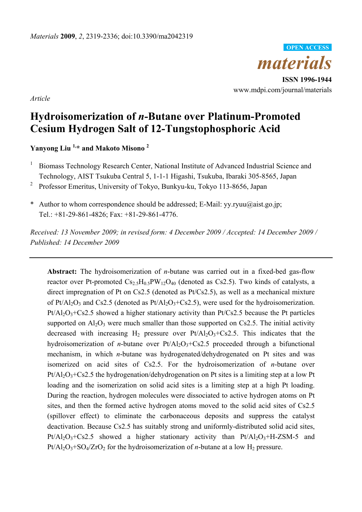

**ISSN 1996-1944**  www.mdpi.com/journal/materials

*Article*

# **Hydroisomerization of** *n***-Butane over Platinum-Promoted Cesium Hydrogen Salt of 12-Tungstophosphoric Acid**

**Yanyong Liu 1,\* and Makoto Misono 2** 

- <sup>1</sup> Biomass Technology Research Center, National Institute of Advanced Industrial Science and Technology, AIST Tsukuba Central 5, 1-1-1 Higashi, Tsukuba, Ibaraki 305-8565, Japan
- <sup>2</sup> Professor Emeritus, University of Tokyo, Bunkyu-ku, Tokyo 113-8656, Japan
- \* Author to whom correspondence should be addressed; E-Mail: yy.ryuu@aist.go.jp; Tel.: +81-29-861-4826; Fax: +81-29-861-4776.

*Received: 13 November 2009; in revised form: 4 December 2009 / Accepted: 14 December 2009 / Published: 14 December 2009* 

**Abstract:** The hydroisomerization of *n*-butane was carried out in a fixed-bed gas-flow reactor over Pt-promoted  $Cs_{2.5}H_{0.5}PW_{12}O_{40}$  (denoted as Cs2.5). Two kinds of catalysts, a direct impregnation of Pt on Cs2.5 (denoted as Pt/Cs2.5), as well as a mechanical mixture of Pt/Al<sub>2</sub>O<sub>3</sub> and Cs2.5 (denoted as Pt/Al<sub>2</sub>O<sub>3</sub>+Cs2.5), were used for the hydroisomerization.  $Pt/A1<sub>2</sub>O<sub>3</sub>+Cs2.5$  showed a higher stationary activity than  $Pt/Cs2.5$  because the Pt particles supported on  $Al_2O_3$  were much smaller than those supported on Cs2.5. The initial activity decreased with increasing  $H_2$  pressure over  $Pt/Al_2O_3+Cs2.5$ . This indicates that the hydroisomerization of *n*-butane over  $Pt/Al_2O_3+Cs2.5$  proceeded through a bifunctional mechanism, in which *n*-butane was hydrogenated/dehydrogenated on Pt sites and was isomerized on acid sites of Cs2.5. For the hydroisomerization of *n*-butane over  $Pt/Al<sub>2</sub>O<sub>3</sub>+Cs<sub>2</sub>$ .5 the hydrogenation/dehydrogenation on Pt sites is a limiting step at a low Pt loading and the isomerization on solid acid sites is a limiting step at a high Pt loading. During the reaction, hydrogen molecules were dissociated to active hydrogen atoms on Pt sites, and then the formed active hydrogen atoms moved to the solid acid sites of Cs2.5 (spillover effect) to eliminate the carbonaceous deposits and suppress the catalyst deactivation. Because Cs2.5 has suitably strong and uniformly-distributed solid acid sites,  $Pt/Al<sub>2</sub>O<sub>3</sub>+Cs2.5$  showed a higher stationary activity than  $Pt/Al<sub>2</sub>O<sub>3</sub>+H-ZSM-5$  and  $Pt/Al_2O_3+SO_4/ZrO_2$  for the hydroisomerization of *n*-butane at a low H<sub>2</sub> pressure.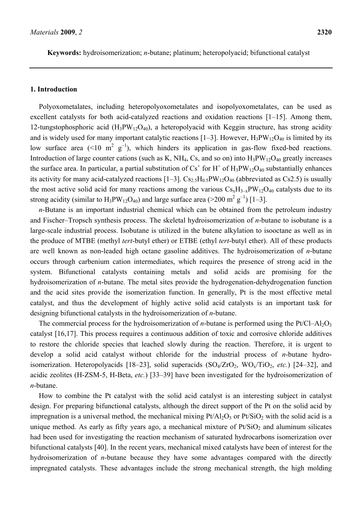**Keywords:** hydroisomerization; *n*-butane; platinum; heteropolyacid; bifunctional catalyst

### **1. Introduction**

Polyoxometalates, including heteropolyoxometalates and isopolyoxometalates, can be used as excellent catalysts for both acid-catalyzed reactions and oxidation reactions [1–15]. Among them, 12-tungstophosphoric acid  $(H_3PW_{12}O_{40})$ , a heteropolyacid with Keggin structure, has strong acidity and is widely used for many important catalytic reactions [1–3]. However,  $H_3PW_{12}O_{40}$  is limited by its low surface area (<10  $m^2$  g<sup>-1</sup>), which hinders its application in gas-flow fixed-bed reactions. Introduction of large counter cations (such as K, NH<sub>4</sub>, Cs, and so on) into  $H_3PW_{12}O_{40}$  greatly increases the surface area. In particular, a partial substitution of  $Cs^+$  for  $H^+$  of  $H_3PW_{12}O_{40}$  substantially enhances its activity for many acid-catalyzed reactions  $[1-3]$ . Cs<sub>2.5</sub>H<sub>0.5</sub>PW<sub>12</sub>O<sub>40</sub> (abbreviated as Cs2.5) is usually the most active solid acid for many reactions among the various  $Cs_xH_{3-x}PW_{12}O_{40}$  catalysts due to its strong acidity (similar to  $H_3PW_{12}O_{40}$ ) and large surface area (>200 m<sup>2</sup> g<sup>-1</sup>) [1-3].

*n*-Butane is an important industrial chemical which can be obtained from the petroleum industry and Fischer–Tropsch synthesis process. The skeletal hydroisomerization of *n*-butane to isobutane is a large-scale industrial process. Isobutane is utilized in the butene alkylation to isooctane as well as in the produce of MTBE (methyl *tert*-butyl ether) or ETBE (ethyl *tert*-butyl ether). All of these products are well known as non-leaded high octane gasoline additives. The hydroisomerization of *n*-butane occurs through carbenium cation intermediates, which requires the presence of strong acid in the system. Bifunctional catalysts containing metals and solid acids are promising for the hydroisomerization of *n*-butane. The metal sites provide the hydrogenation-dehydrogenation function and the acid sites provide the isomerization function. In generally, Pt is the most effective metal catalyst, and thus the development of highly active solid acid catalysts is an important task for designing bifunctional catalysts in the hydroisomerization of *n*-butane.

The commercial process for the hydroisomerization of *n*-butane is performed using the Pt/Cl–Al<sub>2</sub>O<sub>3</sub> catalyst [16,17]. This process requires a continuous addition of toxic and corrosive chloride additives to restore the chloride species that leached slowly during the reaction. Therefore, it is urgent to develop a solid acid catalyst without chloride for the industrial process of *n*-butane hydroisomerization. Heteropolyacids  $[18–23]$ , solid superacids  $(SO_4/ZrO_2, WO_x/TiO_2, etc.)$   $[24–32]$ , and acidic zeolites (H-ZSM-5, H-Beta, *etc.*) [33–39] have been investigated for the hydroisomerization of *n*-butane.

How to combine the Pt catalyst with the solid acid catalyst is an interesting subject in catalyst design. For preparing bifunctional catalysts, although the direct support of the Pt on the solid acid by impregnation is a universal method, the mechanical mixing  $Pt/Al_2O_3$  or  $Pt/SiO_2$  with the solid acid is a unique method. As early as fifty years ago, a mechanical mixture of  $Pt/SiO<sub>2</sub>$  and aluminum silicates had been used for investigating the reaction mechanism of saturated hydrocarbons isomerization over bifunctional catalysts [40]. In the recent years, mechanical mixed catalysts have been of interest for the hydroisomerization of *n*-butane because they have some advantages compared with the directly impregnated catalysts. These advantages include the strong mechanical strength, the high molding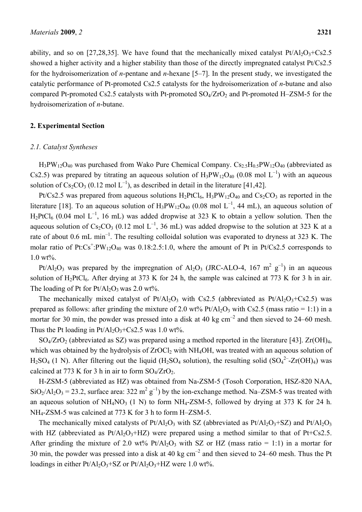ability, and so on [27,28,35]. We have found that the mechanically mixed catalyst  $Pt/Al_2O_3+Cs2.5$ showed a higher activity and a higher stability than those of the directly impregnated catalyst Pt/Cs2.5 for the hydroisomerization of *n*-pentane and *n*-hexane [5–7]. In the present study, we investigated the catalytic performance of Pt-promoted Cs2.5 catalysts for the hydroisomerization of *n*-butane and also compared Pt-promoted Cs2.5 catalysts with Pt-promoted  $SO_4/ZrO_2$  and Pt-promoted H–ZSM-5 for the hydroisomerization of *n*-butane.

## **2. Experimental Section**

#### *2.1. Catalyst Syntheses*

 $H_3PW_{12}O_{40}$  was purchased from Wako Pure Chemical Company.  $Cs_{2.5}H_{0.5}PW_{12}O_{40}$  (abbreviated as Cs2.5) was prepared by titrating an aqueous solution of  $H_3PW_{12}O_{40}$  (0.08 mol L<sup>-1</sup>) with an aqueous solution of  $Cs_2CO_3$  (0.12 mol  $L^{-1}$ ), as described in detail in the literature [41,42].

Pt/Cs2.5 was prepared from aqueous solutions  $H_2PtCl_6$ ,  $H_3PW_{12}O_{40}$  and  $Cs_2CO_3$  as reported in the literature [18]. To an aqueous solution of  $H_3PW_{12}O_{40}$  (0.08 mol L<sup>-1</sup>, 44 mL), an aqueous solution of  $H_2PtCl_6$  (0.04 mol L<sup>-1</sup>, 16 mL) was added dropwise at 323 K to obtain a yellow solution. Then the aqueous solution of  $Cs_2CO_3$  (0.12 mol L<sup>-1</sup>, 36 mL) was added dropwise to the solution at 323 K at a rate of about 0.6 mL min<sup>-1</sup>. The resulting colloidal solution was evaporated to dryness at 323 K. The molar ratio of Pt: $Cs^+$ : $PW_{12}O_{40}$  was 0.18:2.5:1.0, where the amount of Pt in Pt/Cs2.5 corresponds to 1.0 wt%.

Pt/Al<sub>2</sub>O<sub>3</sub> was prepared by the impregnation of Al<sub>2</sub>O<sub>3</sub> (JRC-ALO-4, 167 m<sup>2</sup> g<sup>-1</sup>) in an aqueous solution of  $H_2PtCl_6$ . After drying at 373 K for 24 h, the sample was calcined at 773 K for 3 h in air. The loading of Pt for  $Pt/Al_2O_3$  was 2.0 wt%.

The mechanically mixed catalyst of  $Pt/Al_2O_3$  with Cs2.5 (abbreviated as  $Pt/Al_2O_3+Cs2.5$ ) was prepared as follows: after grinding the mixture of 2.0 wt% Pt/Al<sub>2</sub>O<sub>3</sub> with Cs2.5 (mass ratio = 1:1) in a mortar for 30 min, the powder was pressed into a disk at 40 kg  $cm^{-2}$  and then sieved to 24–60 mesh. Thus the Pt loading in  $Pt/Al_2O_3+Cs2.5$  was 1.0 wt%.

 $SO_4/ZrO_2$  (abbreviated as SZ) was prepared using a method reported in the literature [43]. Zr(OH)<sub>4</sub>, which was obtained by the hydrolysis of  $ZrOCl<sub>2</sub>$  with NH<sub>4</sub>OH, was treated with an aqueous solution of  $H_2SO_4$  (1 N). After filtering out the liquid (H<sub>2</sub>SO<sub>4</sub> solution), the resulting solid (SO<sub>4</sub><sup>2-</sup>-Zr(OH)<sub>4</sub>) was calcined at 773 K for 3 h in air to form  $SO_4/ZrO_2$ .

H-ZSM-5 (abbreviated as HZ) was obtained from Na-ZSM-5 (Tosoh Corporation, HSZ-820 NAA,  $SiO_2/Al_2O_3 = 23.2$ , surface area: 322 m<sup>2</sup> g<sup>-1</sup>) by the ion-exchange method. Na–ZSM-5 was treated with an aqueous solution of NH<sub>4</sub>NO<sub>3</sub> (1 N) to form NH<sub>4</sub>-ZSM-5, followed by drying at 373 K for 24 h. NH4-ZSM-5 was calcined at 773 K for 3 h to form H–ZSM-5.

The mechanically mixed catalysts of Pt/Al<sub>2</sub>O<sub>3</sub> with SZ (abbreviated as Pt/Al<sub>2</sub>O<sub>3</sub>+SZ) and Pt/Al<sub>2</sub>O<sub>3</sub> with HZ (abbreviated as  $Pt/Al_2O_3+HZ$ ) were prepared using a method similar to that of  $Pt+Cs2.5$ . After grinding the mixture of 2.0 wt%  $Pt/Al_2O_3$  with SZ or HZ (mass ratio = 1:1) in a mortar for 30 min, the powder was pressed into a disk at 40 kg  $cm^{-2}$  and then sieved to 24–60 mesh. Thus the Pt loadings in either  $Pt/Al_2O_3+SZ$  or  $Pt/Al_2O_3+HZ$  were 1.0 wt%.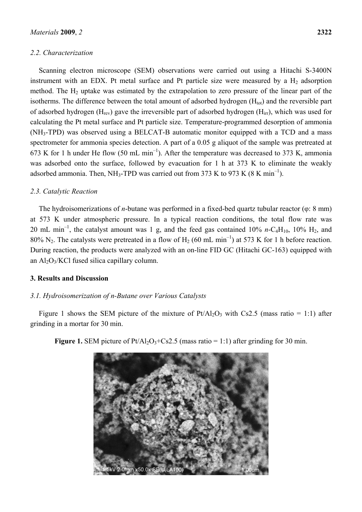## *2.2. Characterization*

Scanning electron microscope (SEM) observations were carried out using a Hitachi S-3400N instrument with an EDX. Pt metal surface and Pt particle size were measured by a  $H<sub>2</sub>$  adsorption method. The  $H_2$  uptake was estimated by the extrapolation to zero pressure of the linear part of the isotherms. The difference between the total amount of adsorbed hydrogen  $(H_{tot})$  and the reversible part of adsorbed hydrogen ( $H_{rev}$ ) gave the irreversible part of adsorbed hydrogen ( $H_{irr}$ ), which was used for calculating the Pt metal surface and Pt particle size. Temperature-programmed desorption of ammonia (NH3-TPD) was observed using a BELCAT-B automatic monitor equipped with a TCD and a mass spectrometer for ammonia species detection. A part of a 0.05 g aliquot of the sample was pretreated at 673 K for 1 h under He flow (50 mL min<sup>-1</sup>). After the temperature was decreased to 373 K, ammonia was adsorbed onto the surface, followed by evacuation for 1 h at 373 K to eliminate the weakly adsorbed ammonia. Then, NH<sub>3</sub>-TPD was carried out from 373 K to 973 K (8 K min<sup>-1</sup>).

# *2.3. Catalytic Reaction*

The hydroisomerizations of *n*-butane was performed in a fixed-bed quartz tubular reactor (φ: 8 mm) at 573 K under atmospheric pressure. In a typical reaction conditions, the total flow rate was 20 mL min<sup>-1</sup>, the catalyst amount was 1 g, and the feed gas contained 10% *n*-C<sub>4</sub>H<sub>10</sub>, 10% H<sub>2</sub>, and 80% N<sub>2</sub>. The catalysts were pretreated in a flow of H<sub>2</sub> (60 mL min<sup>-1</sup>) at 573 K for 1 h before reaction. During reaction, the products were analyzed with an on-line FID GC (Hitachi GC-163) equipped with an  $Al_2O_3/KCl$  fused silica capillary column.

## **3. Results and Discussion**

## *3.1. Hydroisomerization of n-Butane over Various Catalysts*

Figure 1 shows the SEM picture of the mixture of  $Pt/Al_2O_3$  with Cs2.5 (mass ratio = 1:1) after grinding in a mortar for 30 min.



**Figure 1.** SEM picture of  $Pt/Al_2O_3+Cs2.5$  (mass ratio = 1:1) after grinding for 30 min.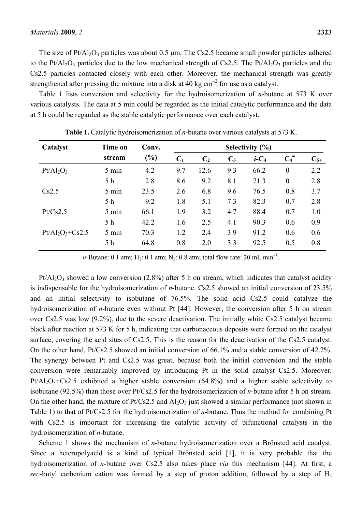The size of  $Pt/Al_2O_3$  particles was about 0.5 µm. The Cs2.5 became small powder particles adhered to the Pt/Al<sub>2</sub>O<sub>3</sub> particles due to the low mechanical strength of Cs2.5. The Pt/Al<sub>2</sub>O<sub>3</sub> particles and the Cs2.5 particles contacted closely with each other. Moreover, the mechanical strength was greatly strengthened after pressing the mixture into a disk at 40 kg  $cm^{-2}$  for use as a catalyst.

Table 1 lists conversion and selectivity for the hydroisomerization of *n*-butane at 573 K over various catalysts. The data at 5 min could be regarded as the initial catalytic performance and the data at 5 h could be regarded as the stable catalytic performance over each catalyst.

| Catalyst             | Time on         | Conv.  | Selectivity $(\% )$ |                |       |                     |                    |                   |  |
|----------------------|-----------------|--------|---------------------|----------------|-------|---------------------|--------------------|-------------------|--|
|                      | stream          | $(\%)$ | C <sub>1</sub>      | C <sub>2</sub> | $C_3$ | $i$ -C <sub>4</sub> | $C_4$ <sup>=</sup> | $\mathbf{C}_{5+}$ |  |
| $Pt/Al_2O_3$         | 5 min           | 4.2    | 9.7                 | 12.6           | 9.3   | 66.2                | $\boldsymbol{0}$   | 2.2               |  |
|                      | 5 <sub>h</sub>  | 2.8    | 8.6                 | 9.2            | 8.1   | 71.3                | $\theta$           | 2.8               |  |
| Cs2.5                | $5 \text{ min}$ | 23.5   | 2.6                 | 6.8            | 9.6   | 76.5                | 0.8                | 3.7               |  |
|                      | 5 <sub>h</sub>  | 9.2    | 1.8                 | 5.1            | 7.3   | 82.3                | 0.7                | 2.8               |  |
| Pt/Cs2.5             | 5 min           | 66.1   | 1.9                 | 3.2            | 4.7   | 88.4                | 0.7                | 1.0               |  |
|                      | 5 <sub>h</sub>  | 42.2   | 1.6                 | 2.5            | 4.1   | 90.3                | 0.6                | 0.9               |  |
| $Pt/Al_2O_3 + Cs2.5$ | $5 \text{ min}$ | 70.3   | 1.2                 | 2.4            | 3.9   | 91.2                | 0.6                | 0.6               |  |
|                      | 5 <sub>h</sub>  | 64.8   | 0.8                 | 2.0            | 3.3   | 92.5                | 0.5                | 0.8               |  |

**Table 1.** Catalytic hydroisomerization of *n*-butane over various catalysts at 573 K.

*n*-Butane: 0.1 atm; H<sub>2</sub>: 0.1 atm; N<sub>2</sub>: 0.8 atm; total flow rate: 20 mL min<sup>-1</sup>.

 $Pt/Al<sub>2</sub>O<sub>3</sub>$  showed a low conversion (2.8%) after 5 h on stream, which indicates that catalyst acidity is indispensable for the hydroisomerization of *n*-butane. Cs2.5 showed an initial conversion of 23.5% and an initial selectivity to isobutane of 76.5%. The solid acid Cs2.5 could catalyze the hydroisomerization of *n*-butane even without Pt [44]. However, the conversion after 5 h on stream over Cs2.5 was low (9.2%), due to the severe deactivation. The initially white Cs2.5 catalyst became black after reaction at 573 K for 5 h, indicating that carbonaceous deposits were formed on the catalyst surface, covering the acid sites of Cs2.5. This is the reason for the deactivation of the Cs2.5 catalyst. On the other hand, Pt/Cs2.5 showed an initial conversion of 66.1% and a stable conversion of 42.2%. The synergy between Pt and Cs2.5 was great, because both the initial conversion and the stable conversion were remarkably improved by introducing Pt in the solid catalyst Cs2.5. Moreover,  $Pt/Al_2O_3+Cs2.5$  exhibited a higher stable conversion (64.8%) and a higher stable selectivity to isobutane (92.5%) than those over Pt/Cs2.5 for the hydroisomerization of *n*-butane after 5 h on stream. On the other hand, the mixture of  $Pt/Cs2.5$  and  $Al_2O_3$  just showed a similar performance (not shown in Table 1) to that of Pt/Cs2.5 for the hydroisomerization of *n*-butane. Thus the method for combining Pt with Cs2.5 is important for increasing the catalytic activity of bifunctional catalysts in the hydroisomerization of *n*-butane.

Scheme 1 shows the mechanism of *n*-butane hydroisomerization over a Brönsted acid catalyst. Since a heteropolyacid is a kind of typical Brönsted acid [1], it is very probable that the hydroisomerization of *n*-butane over Cs2.5 also takes place *via* this mechanism [44]. At first, a *sec*-butyl carbenium cation was formed by a step of proton addition, followed by a step of  $H_2$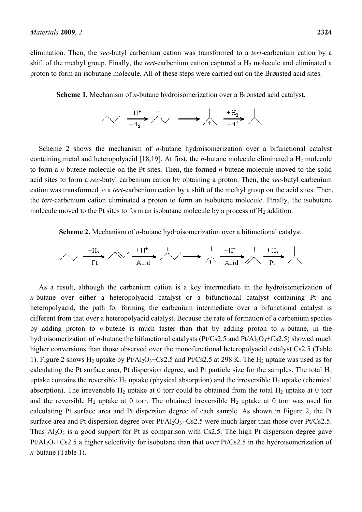elimination. Then, the *sec*-butyl carbenium cation was transformed to a *tert*-carbenium cation by a shift of the methyl group. Finally, the *tert*-carbenium cation captured a  $H_2$  molecule and eliminated a proton to form an isobutane molecule. All of these steps were carried out on the Brønsted acid sites.

**Scheme 1.** Mechanism of *n*-butane hydroisomerization over a Brønsted acid catalyst.



Scheme 2 shows the mechanism of *n*-butane hydroisomerization over a bifunctional catalyst containing metal and heteropolyacid [18,19]. At first, the *n*-butane molecule eliminated a H<sub>2</sub> molecule to form a *n*-butene molecule on the Pt sites. Then, the formed *n*-butene molecule moved to the solid acid sites to form a *sec*-butyl carbenium cation by obtaining a proton. Then, the *sec*-butyl carbenium cation was transformed to a *tert*-carbenium cation by a shift of the methyl group on the acid sites. Then, the *tert*-carbenium cation eliminated a proton to form an isobutene molecule. Finally, the isobutene molecule moved to the Pt sites to form an isobutane molecule by a process of  $H_2$  addition.

**Scheme 2.** Mechanism of *n*-butane hydroisomerization over a bifunctional catalyst.

$$
\text{max} \rightarrow \text{max} \rightarrow \text{max} \rightarrow \text{max} \rightarrow \text{max} \rightarrow \text{max} \rightarrow \text{max} \rightarrow \text{max} \rightarrow \text{max} \rightarrow \text{max}
$$

As a result, although the carbenium cation is a key intermediate in the hydroisomerization of *n*-butane over either a heteropolyacid catalyst or a bifunctional catalyst containing Pt and heteropolyacid, the path for forming the carbenium intermediate over a bifunctional catalyst is different from that over a heteropolyacid catalyst. Because the rate of formation of a carbenium species by adding proton to *n*-butene is much faster than that by adding proton to *n*-butane, in the hydroisomerization of *n*-butane the bifunctional catalysts ( $Pt/Cs2.5$  and  $Pt/Al<sub>2</sub>O<sub>3</sub>+Cs2.5$ ) showed much higher conversions than those observed over the monofunctional heteropolyacid catalyst Cs2.5 (Table 1). Figure 2 shows  $H_2$  uptake by Pt/Al<sub>2</sub>O<sub>3</sub>+Cs2.5 and Pt/Cs2.5 at 298 K. The  $H_2$  uptake was used as for calculating the Pt surface area, Pt dispersion degree, and Pt particle size for the samples. The total  $H_2$ uptake contains the reversible  $H_2$  uptake (physical absorption) and the irreversible  $H_2$  uptake (chemical absorption). The irreversible  $H_2$  uptake at 0 torr could be obtained from the total  $H_2$  uptake at 0 torr and the reversible  $H_2$  uptake at 0 torr. The obtained irreversible  $H_2$  uptake at 0 torr was used for calculating Pt surface area and Pt dispersion degree of each sample. As shown in Figure 2, the Pt surface area and Pt dispersion degree over  $Pt/Al_2O_3+Cs2.5$  were much larger than those over  $Pt/Cs2.5$ . Thus  $Al_2O_3$  is a good support for Pt as comparison with Cs2.5. The high Pt dispersion degree gave  $Pt/Al_2O_3+Cs2.5$  a higher selectivity for isobutane than that over  $Pt/Cs2.5$  in the hydroisomerization of *n*-butane (Table 1).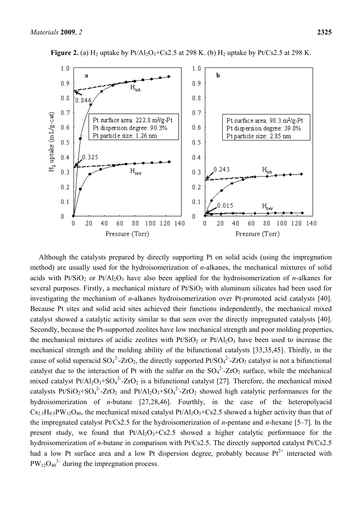

**Figure 2.** (a)  $H_2$  uptake by  $Pt/Al_2O_3+Cs2.5$  at 298 K. (b)  $H_2$  uptake by  $Pt/Cs2.5$  at 298 K.

Although the catalysts prepared by directly supporting Pt on solid acids (using the impregnation method) are usually used for the hydroisomerization of *n*-alkanes, the mechanical mixtures of solid acids with Pt/SiO<sub>2</sub> or Pt/Al<sub>2</sub>O<sub>3</sub> have also been applied for the hydroisomerization of *n*-alkanes for several purposes. Firstly, a mechanical mixture of  $Pt/SiO<sub>2</sub>$  with aluminum silicates had been used for investigating the mechanism of *n*-alkanes hydroisomerization over Pt-promoted acid catalysts [40]. Because Pt sites and solid acid sites achieved their functions independently, the mechanical mixed catalyst showed a catalytic activity similar to that seen over the directly impregnated catalysts [40]. Secondly, because the Pt-supported zeolites have low mechanical strength and poor molding properties, the mechanical mixtures of acidic zeolites with  $Pt/SiO<sub>2</sub>$  or  $Pt/Al<sub>2</sub>O<sub>3</sub>$  have been used to increase the mechanical strength and the molding ability of the bifunctional catalysts [33,35,45]. Thirdly, in the cause of solid superacid  $SO_4^2$ -ZrO<sub>2</sub>, the directly supported Pt/SO<sub>4</sub><sup>2</sup>-ZrO<sub>2</sub> catalyst is not a bifunctional catalyst due to the interaction of Pt with the sulfur on the  $SO_4^2$ -ZrO<sub>2</sub> surface, while the mechanical mixed catalyst  $Pt/Al_2O_3 + SO_4^2$ -ZrO<sub>2</sub> is a bifunctional catalyst [27]. Therefore, the mechanical mixed catalysts Pt/SiO<sub>2</sub>+SO<sub>4</sub><sup>2</sup>-ZrO<sub>2</sub> and Pt/Al<sub>2</sub>O<sub>3</sub>+SO<sub>4</sub><sup>2</sup>-ZrO<sub>2</sub> showed high catalytic performances for the hydroisomerization of *n*-butane [27,28,46]. Fourthly, in the case of the heteropolyacid  $Cs_{2.5}H_{0.5}PW_{12}O_{40}$ , the mechanical mixed catalyst  $Pt/Al_2O_3+Cs2.5$  showed a higher activity than that of the impregnated catalyst Pt/Cs2.5 for the hydroisomerization of *n*-pentane and *n*-hexane [5–7]. In the present study, we found that  $Pt/Al_2O_3+Cs2.5$  showed a higher catalytic performance for the hydroisomerization of *n*-butane in comparison with Pt/Cs2.5. The directly supported catalyst Pt/Cs2.5 had a low Pt surface area and a low Pt dispersion degree, probably because  $Pt^{2+}$  interacted with  $PW_{12}O_{40}^3$  during the impregnation process.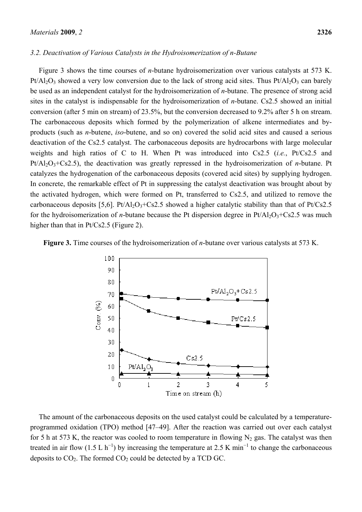#### *3.2. Deactivation of Various Catalysts in the Hydroisomerization of n-Butane*

Figure 3 shows the time courses of *n*-butane hydroisomerization over various catalysts at 573 K.  $Pt/Al_2O_3$  showed a very low conversion due to the lack of strong acid sites. Thus  $Pt/Al_2O_3$  can barely be used as an independent catalyst for the hydroisomerization of *n*-butane. The presence of strong acid sites in the catalyst is indispensable for the hydroisomerization of *n*-butane. Cs2.5 showed an initial conversion (after 5 min on stream) of 23.5%, but the conversion decreased to 9.2% after 5 h on stream. The carbonaceous deposits which formed by the polymerization of alkene intermediates and byproducts (such as *n*-butene, *iso*-butene, and so on) covered the solid acid sites and caused a serious deactivation of the Cs2.5 catalyst. The carbonaceous deposits are hydrocarbons with large molecular weights and high ratios of C to H. When Pt was introduced into Cs2.5 (*i.e.*, Pt/Cs2.5 and Pt/Al2O3+Cs2.5), the deactivation was greatly repressed in the hydroisomerization of *n*-butane. Pt catalyzes the hydrogenation of the carbonaceous deposits (covered acid sites) by supplying hydrogen. In concrete, the remarkable effect of Pt in suppressing the catalyst deactivation was brought about by the activated hydrogen, which were formed on Pt, transferred to Cs2.5, and utilized to remove the carbonaceous deposits [5,6]. Pt/Al<sub>2</sub>O<sub>3</sub>+Cs2.5 showed a higher catalytic stability than that of Pt/Cs2.5 for the hydroisomerization of *n*-butane because the Pt dispersion degree in  $Pt/Al_2O_3+Cs2.5$  was much higher than that in Pt/Cs2.5 (Figure 2).





The amount of the carbonaceous deposits on the used catalyst could be calculated by a temperatureprogrammed oxidation (TPO) method [47–49]. After the reaction was carried out over each catalyst for 5 h at 573 K, the reactor was cooled to room temperature in flowing  $N_2$  gas. The catalyst was then treated in air flow (1.5 L h<sup>-1</sup>) by increasing the temperature at 2.5 K min<sup>-1</sup> to change the carbonaceous deposits to  $CO<sub>2</sub>$ . The formed  $CO<sub>2</sub>$  could be detected by a TCD GC.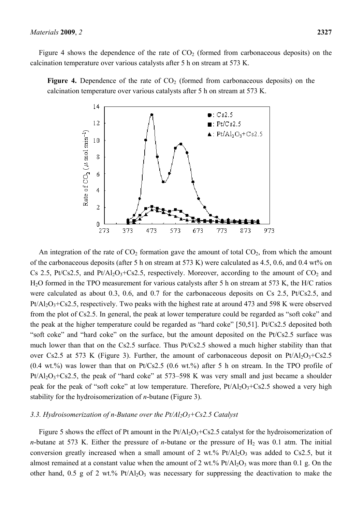Figure 4 shows the dependence of the rate of  $CO<sub>2</sub>$  (formed from carbonaceous deposits) on the calcination temperature over various catalysts after 5 h on stream at 573 K.

**Figure 4.** Dependence of the rate of  $CO<sub>2</sub>$  (formed from carbonaceous deposits) on the calcination temperature over various catalysts after 5 h on stream at 573 K.



An integration of the rate of  $CO<sub>2</sub>$  formation gave the amount of total  $CO<sub>2</sub>$ , from which the amount of the carbonaceous deposits (after 5 h on stream at 573 K) were calculated as 4.5, 0.6, and 0.4 wt% on Cs 2.5, Pt/Cs2.5, and Pt/Al<sub>2</sub>O<sub>3</sub>+Cs2.5, respectively. Moreover, according to the amount of CO<sub>2</sub> and H2O formed in the TPO measurement for various catalysts after 5 h on stream at 573 K, the H/C ratios were calculated as about 0.3, 0.6, and 0.7 for the carbonaceous deposits on Cs 2.5, Pt/Cs2.5, and  $Pt/Al_2O_3+Cs2.5$ , respectively. Two peaks with the highest rate at around 473 and 598 K were observed from the plot of Cs2.5. In general, the peak at lower temperature could be regarded as "soft coke" and the peak at the higher temperature could be regarded as "hard coke" [50,51]. Pt/Cs2.5 deposited both "soft coke" and "hard coke" on the surface, but the amount deposited on the Pt/Cs2.5 surface was much lower than that on the Cs2.5 surface. Thus Pt/Cs2.5 showed a much higher stability than that over Cs2.5 at 573 K (Figure 3). Further, the amount of carbonaceous deposit on  $Pt/Al_2O_3+Cs2.5$  $(0.4 \text{ wt.})$ % was lower than that on Pt/Cs2.5  $(0.6 \text{ wt.})$ % after 5 h on stream. In the TPO profile of  $Pt/Al_2O_3+Cs2.5$ , the peak of "hard coke" at 573–598 K was very small and just became a shoulder peak for the peak of "soft coke" at low temperature. Therefore,  $Pt/Al_2O_3+Cs2.5$  showed a very high stability for the hydroisomerization of *n*-butane (Figure 3).

#### *3.3. Hydroisomerization of n-Butane over the Pt/Al2O3+Cs2.5 Catalyst*

Figure 5 shows the effect of Pt amount in the  $Pt/Al_2O_3+Cs2.5$  catalyst for the hydroisomerization of *n*-butane at 573 K. Either the pressure of *n*-butane or the pressure of  $H_2$  was 0.1 atm. The initial conversion greatly increased when a small amount of 2 wt.%  $Pt/Al_2O_3$  was added to Cs2.5, but it almost remained at a constant value when the amount of 2 wt.%  $Pt/Al_2O_3$  was more than 0.1 g. On the other hand,  $0.5$  g of 2 wt.% Pt/Al<sub>2</sub>O<sub>3</sub> was necessary for suppressing the deactivation to make the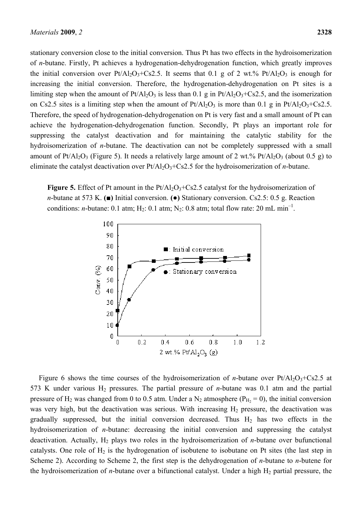stationary conversion close to the initial conversion. Thus Pt has two effects in the hydroisomerization of *n*-butane. Firstly, Pt achieves a hydrogenation-dehydrogenation function, which greatly improves the initial conversion over  $Pt/Al_2O_3+Cs2.5$ . It seems that 0.1 g of 2 wt.%  $Pt/Al_2O_3$  is enough for increasing the initial conversion. Therefore, the hydrogenation-dehydrogenation on Pt sites is a limiting step when the amount of  $Pt/Al_2O_3$  is less than 0.1 g in  $Pt/Al_2O_3+Cs2.5$ , and the isomerization on Cs2.5 sites is a limiting step when the amount of  $Pt/Al_2O_3$  is more than 0.1 g in  $Pt/Al_2O_3+Cs2.5$ . Therefore, the speed of hydrogenation-dehydrogenation on Pt is very fast and a small amount of Pt can achieve the hydrogenation-dehydrogenation function. Secondly, Pt plays an important role for suppressing the catalyst deactivation and for maintaining the catalytic stability for the hydroisomerization of *n*-butane. The deactivation can not be completely suppressed with a small amount of Pt/Al<sub>2</sub>O<sub>3</sub> (Figure 5). It needs a relatively large amount of 2 wt.% Pt/Al<sub>2</sub>O<sub>3</sub> (about 0.5 g) to eliminate the catalyst deactivation over  $Pt/Al_2O_3+Cs2.5$  for the hydroisomerization of *n*-butane.

**Figure 5.** Effect of Pt amount in the  $Pt/Al_2O_3+Cs2.5$  catalyst for the hydroisomerization of *n*-butane at 573 K. **(■)** Initial conversion. **(●)** Stationary conversion. Cs2.5: 0.5 g. Reaction conditions: *n*-butane: 0.1 atm; H<sub>2</sub>: 0.1 atm; N<sub>2</sub>: 0.8 atm; total flow rate: 20 mL min<sup>-1</sup>.



Figure 6 shows the time courses of the hydroisomerization of *n*-butane over  $Pt/Al_2O_3+Cs2.5$  at 573 K under various H2 pressures. The partial pressure of *n*-butane was 0.1 atm and the partial pressure of H<sub>2</sub> was changed from 0 to 0.5 atm. Under a N<sub>2</sub> atmosphere ( $P_{H<sub>2</sub>}$  = 0), the initial conversion was very high, but the deactivation was serious. With increasing  $H<sub>2</sub>$  pressure, the deactivation was gradually suppressed, but the initial conversion decreased. Thus  $H_2$  has two effects in the hydroisomerization of *n*-butane: decreasing the initial conversion and suppressing the catalyst deactivation. Actually, H<sub>2</sub> plays two roles in the hydroisomerization of *n*-butane over bufunctional catalysts. One role of  $H_2$  is the hydrogenation of isobutene to isobutane on Pt sites (the last step in Scheme 2). According to Scheme 2, the first step is the dehydrogenation of *n*-butane to *n*-butene for the hydroisomerization of *n*-butane over a bifunctional catalyst. Under a high  $H_2$  partial pressure, the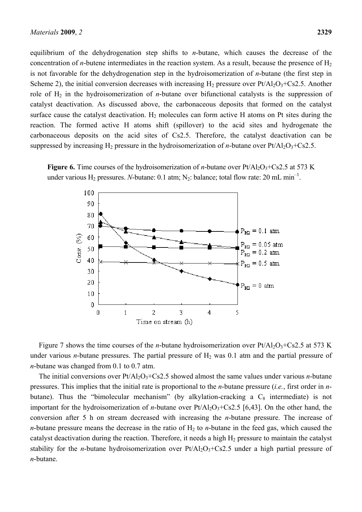equilibrium of the dehydrogenation step shifts to *n*-butane, which causes the decrease of the concentration of *n*-butene intermediates in the reaction system. As a result, because the presence of  $H_2$ is not favorable for the dehydrogenation step in the hydroisomerization of *n*-butane (the first step in Scheme 2), the initial conversion decreases with increasing  $H_2$  pressure over  $Pt/Al_2O_3+Cs2.5$ . Another role of H2 in the hydroisomerization of *n*-butane over bifunctional catalysts is the suppression of catalyst deactivation. As discussed above, the carbonaceous deposits that formed on the catalyst surface cause the catalyst deactivation.  $H_2$  molecules can form active H atoms on Pt sites during the reaction. The formed active H atoms shift (spillover) to the acid sites and hydrogenate the carbonaceous deposits on the acid sites of Cs2.5. Therefore, the catalyst deactivation can be

**Figure 6.** Time courses of the hydroisomerization of *n*-butane over  $Pt/Al_2O_3+Cs2.5$  at 573 K under various  $H_2$  pressures. *N*-butane: 0.1 atm; N<sub>2</sub>: balance; total flow rate: 20 mL min<sup>-1</sup>.

suppressed by increasing H<sub>2</sub> pressure in the hydroisomerization of *n*-butane over  $Pt/Al_2O_3+Cs2.5$ .



Figure 7 shows the time courses of the *n*-butane hydroisomerization over  $Pt/Al_2O_3+Cs2.5$  at 573 K under various *n*-butane pressures. The partial pressure of  $H_2$  was 0.1 atm and the partial pressure of *n*-butane was changed from 0.1 to 0.7 atm.

The initial conversions over  $Pt/Al_2O_3+Cs2.5$  showed almost the same values under various *n*-butane pressures. This implies that the initial rate is proportional to the *n*-butane pressure (*i.e.*, first order in *n*butane). Thus the "bimolecular mechanism" (by alkylation-cracking a  $C_8$  intermediate) is not important for the hydroisomerization of *n*-butane over  $Pt/Al_2O_3+Cs2.5$  [6,43]. On the other hand, the conversion after 5 h on stream decreased with increasing the *n*-butane pressure. The increase of *n*-butane pressure means the decrease in the ratio of  $H_2$  to *n*-butane in the feed gas, which caused the catalyst deactivation during the reaction. Therefore, it needs a high  $H<sub>2</sub>$  pressure to maintain the catalyst stability for the *n*-butane hydroisomerization over  $Pt/Al_2O_3+Cs2.5$  under a high partial pressure of *n*-butane.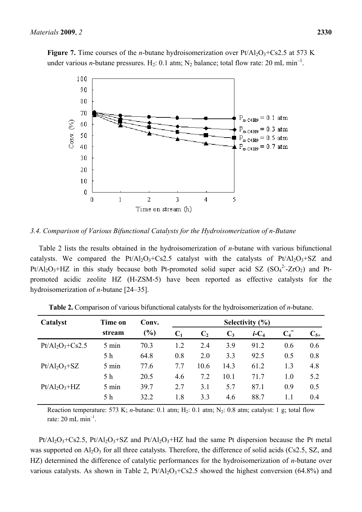

*3.4. Comparison of Various Bifunctional Catalysts for the Hydroisomerization of n-Butane* 

Table 2 lists the results obtained in the hydroisomerization of *n*-butane with various bifunctional catalysts. We compared the  $Pt/Al_2O_3+Cs2.5$  catalyst with the catalysts of  $Pt/Al_2O_3+SZ$  and Pt/Al<sub>2</sub>O<sub>3</sub>+HZ in this study because both Pt-promoted solid super acid SZ  $(SO<sub>4</sub><sup>2</sup>$ -ZrO<sub>2</sub>) and Ptpromoted acidic zeolite HZ (H-ZSM-5) have been reported as effective catalysts for the hydroisomerization of *n*-butane [24–35].

| Catalyst           | Time on | Conv.  | Selectivity $(\% )$ |       |       |                     |                    |          |
|--------------------|---------|--------|---------------------|-------|-------|---------------------|--------------------|----------|
|                    | stream  | $(\%)$ | C <sub>1</sub>      | $C_2$ | $C_3$ | $i$ -C <sub>4</sub> | $C_4$ <sup>=</sup> | $C_{5+}$ |
| $Pt/Al_2O_3+Cs2.5$ | 5 min   | 70.3   | 1.2                 | 2.4   | 3.9   | 91.2                | 0.6                | 0.6      |
|                    | 5 h     | 64.8   | 0.8                 | 2.0   | 3.3   | 92.5                | 0.5                | 0.8      |
| $Pt/Al_2O_3 + SZ$  | 5 min   | 77.6   | 7.7                 | 10.6  | 14.3  | 61.2                | 1.3                | 4.8      |
|                    | 5 h     | 20.5   | 4.6                 | 7.2   | 10.1  | 71.7                | 1.0                | 5.2      |
| $Pt/Al_2O_3+HZ$    | 5 min   | 39.7   | 2.7                 | 3.1   | 5.7   | 87.1                | 0.9                | 0.5      |
|                    | 5 h     | 32.2   | 1.8                 | 3.3   | 4.6   | 88.7                | 11                 | 0.4      |

**Table 2.** Comparison of various bifunctional catalysts for the hydroisomerization of *n*-butane.

Reaction temperature: 573 K; *n*-butane: 0.1 atm; H<sub>2</sub>: 0.1 atm; N<sub>2</sub>: 0.8 atm; catalyst: 1 g; total flow rate:  $20 \text{ mL min}^{-1}$ .

 $Pt/Al_2O_3+Cs2.5$ ,  $Pt/Al_2O_3+SZ$  and  $Pt/Al_2O_3+HZ$  had the same Pt dispersion because the Pt metal was supported on  $Al_2O_3$  for all three catalysts. Therefore, the difference of solid acids (Cs2.5, SZ, and HZ) determined the difference of catalytic performances for the hydroisomerization of *n*-butane over various catalysts. As shown in Table 2,  $Pt/Al_2O_3+Cs2.5$  showed the highest conversion (64.8%) and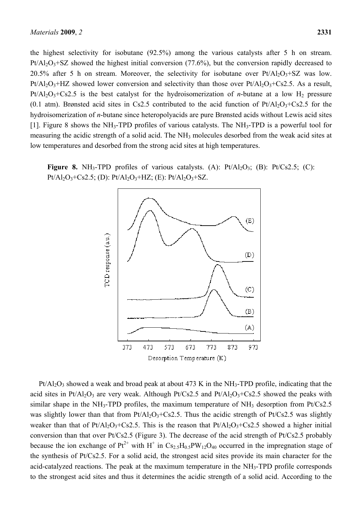the highest selectivity for isobutane (92.5%) among the various catalysts after 5 h on stream.  $Pt/Al_2O_3+SZ$  showed the highest initial conversion (77.6%), but the conversion rapidly decreased to 20.5% after 5 h on stream. Moreover, the selectivity for isobutane over  $Pt/Al_2O_3+SZ$  was low.  $Pt/A1<sub>2</sub>O<sub>3</sub>+HZ$  showed lower conversion and selectivity than those over  $Pt/A1<sub>2</sub>O<sub>3</sub>+Cs2.5$ . As a result,  $Pt/Al_2O_3+Cs2.5$  is the best catalyst for the hydroisomerization of *n*-butane at a low H<sub>2</sub> pressure (0.1 atm). Brønsted acid sites in Cs2.5 contributed to the acid function of  $Pt/Al_2O_3+Cs2.5$  for the hydroisomerization of *n*-butane since heteropolyacids are pure Brønsted acids without Lewis acid sites [1]. Figure 8 shows the NH3-TPD profiles of various catalysts. The NH3-TPD is a powerful tool for measuring the acidic strength of a solid acid. The NH<sub>3</sub> molecules desorbed from the weak acid sites at low temperatures and desorbed from the strong acid sites at high temperatures.

**Figure 8.** NH<sub>3</sub>-TPD profiles of various catalysts. (A):  $Pt/Al_2O_3$ ; (B):  $Pt/Cs2.5$ ; (C):  $Pt/Al_2O_3+Cs2.5$ ; (D):  $Pt/Al_2O_3+HZ$ ; (E):  $Pt/Al_2O_3+SZ$ .



 $Pt/Al_2O_3$  showed a weak and broad peak at about 473 K in the NH<sub>3</sub>-TPD profile, indicating that the acid sites in Pt/Al<sub>2</sub>O<sub>3</sub> are very weak. Although Pt/Cs2.5 and Pt/Al<sub>2</sub>O<sub>3</sub>+Cs2.5 showed the peaks with similar shape in the NH<sub>3</sub>-TPD profiles, the maximum temperature of NH<sub>3</sub> desorption from Pt/Cs2.5 was slightly lower than that from  $Pt/Al_2O_3+Cs2.5$ . Thus the acidic strength of  $Pt/Cs2.5$  was slightly weaker than that of Pt/Al<sub>2</sub>O<sub>3</sub>+Cs2.5. This is the reason that Pt/Al<sub>2</sub>O<sub>3</sub>+Cs2.5 showed a higher initial conversion than that over Pt/Cs2.5 (Figure 3). The decrease of the acid strength of Pt/Cs2.5 probably because the ion exchange of  $Pt^{2+}$  with H<sup>+</sup> in  $Cs_{2.5}H_{0.5}PW_{12}O_{40}$  occurred in the impregnation stage of the synthesis of Pt/Cs2.5. For a solid acid, the strongest acid sites provide its main character for the acid-catalyzed reactions. The peak at the maximum temperature in the NH3-TPD profile corresponds to the strongest acid sites and thus it determines the acidic strength of a solid acid. According to the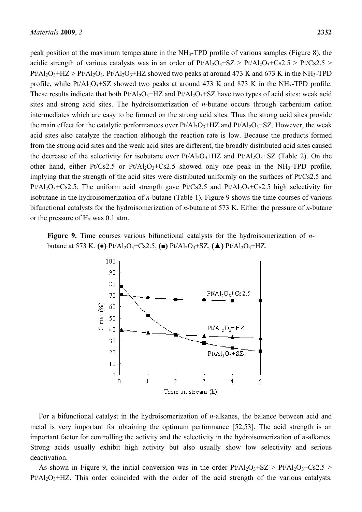peak position at the maximum temperature in the NH3-TPD profile of various samples (Figure 8), the acidic strength of various catalysts was in an order of  $Pt/Al_2O_3+SZ > Pt/Al_2O_3+Cs2.5 > Pt/Cs2.5 >$  $Pt/Al_2O_3+HZ > Pt/Al_2O_3$ .  $Pt/Al_2O_3+HZ$  showed two peaks at around 473 K and 673 K in the NH<sub>3</sub>-TPD profile, while Pt/Al<sub>2</sub>O<sub>3</sub>+SZ showed two peaks at around 473 K and 873 K in the NH<sub>3</sub>-TPD profile. These results indicate that both  $Pt/Al_2O_3+HZ$  and  $Pt/Al_2O_3+SZ$  have two types of acid sites: weak acid sites and strong acid sites. The hydroisomerization of *n*-butane occurs through carbenium cation intermediates which are easy to be formed on the strong acid sites. Thus the strong acid sites provide the main effect for the catalytic performances over  $Pt/Al_2O_3+HZ$  and  $Pt/Al_2O_3+SZ$ . However, the weak acid sites also catalyze the reaction although the reaction rate is low. Because the products formed from the strong acid sites and the weak acid sites are different, the broadly distributed acid sites caused the decrease of the selectivity for isobutane over  $Pt/Al_2O_3+HZ$  and  $Pt/Al_2O_3+SZ$  (Table 2). On the other hand, either Pt/Cs2.5 or Pt/Al<sub>2</sub>O<sub>3</sub>+Cs2.5 showed only one peak in the NH<sub>3</sub>-TPD profile, implying that the strength of the acid sites were distributed uniformly on the surfaces of Pt/Cs2.5 and  $Pt/Al<sub>2</sub>O<sub>3</sub>+Cs2.5$ . The uniform acid strength gave  $Pt/Cs2.5$  and  $Pt/Al<sub>2</sub>O<sub>3</sub>+Cs2.5$  high selectivity for isobutane in the hydroisomerization of *n*-butane (Table 1). Figure 9 shows the time courses of various bifunctional catalysts for the hydroisomerization of *n*-butane at 573 K. Either the pressure of *n*-butane or the pressure of  $H_2$  was 0.1 atm.

**Figure 9.** Time courses various bifunctional catalysts for the hydroisomerization of *n*butane at 573 K. **(●)** Pt/Al2O3+Cs2.5, **(■)** Pt/Al2O3+SZ, **(▲)** Pt/Al2O3+HZ.



For a bifunctional catalyst in the hydroisomerization of *n*-alkanes, the balance between acid and metal is very important for obtaining the optimum performance [52,53]. The acid strength is an important factor for controlling the activity and the selectivity in the hydroisomerization of *n*-alkanes. Strong acids usually exhibit high activity but also usually show low selectivity and serious deactivation.

As shown in Figure 9, the initial conversion was in the order  $Pt/Al_2O_3+SZ > Pt/Al_2O_3+Cs2.5 >$  $Pt/Al<sub>2</sub>O<sub>3</sub>+HZ$ . This order coincided with the order of the acid strength of the various catalysts.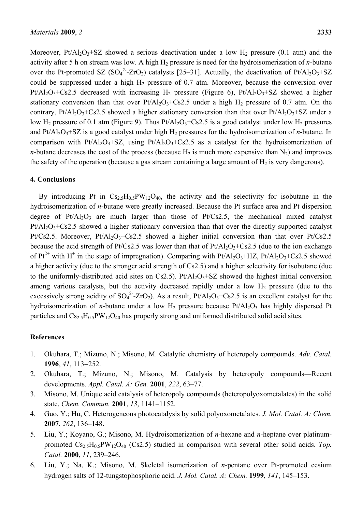Moreover, Pt/Al<sub>2</sub>O<sub>3</sub>+SZ showed a serious deactivation under a low H<sub>2</sub> pressure (0.1 atm) and the activity after 5 h on stream was low. A high  $H_2$  pressure is need for the hydroisomerization of *n*-butane over the Pt-promoted SZ  $(SO_4^2$ -ZrO<sub>2</sub>) catalysts [25–31]. Actually, the deactivation of Pt/Al<sub>2</sub>O<sub>3</sub>+SZ could be suppressed under a high  $H_2$  pressure of 0.7 atm. Moreover, because the conversion over  $Pt/Al_2O_3+Cs2.5$  decreased with increasing H<sub>2</sub> pressure (Figure 6),  $Pt/Al_2O_3+SZ$  showed a higher stationary conversion than that over  $Pt/Al_2O_3+Cs2.5$  under a high  $H_2$  pressure of 0.7 atm. On the contrary, Pt/Al<sub>2</sub>O<sub>3</sub>+Cs2.5 showed a higher stationary conversion than that over Pt/Al<sub>2</sub>O<sub>3</sub>+SZ under a low H<sub>2</sub> pressure of 0.1 atm (Figure 9). Thus  $Pt/Al_2O_3+Cs2.5$  is a good catalyst under low H<sub>2</sub> pressures and  $Pt/A1<sub>2</sub>O<sub>3</sub>+SZ$  is a good catalyst under high  $H<sub>2</sub>$  pressures for the hydroisomerization of *n*-butane. In comparison with Pt/Al<sub>2</sub>O<sub>3</sub>+SZ, using Pt/Al<sub>2</sub>O<sub>3</sub>+Cs2.5 as a catalyst for the hydroisomerization of *n*-butane decreases the cost of the process (because  $H_2$  is much more expensive than  $N_2$ ) and improves the safety of the operation (because a gas stream containing a large amount of  $H_2$  is very dangerous).

#### **4. Conclusions**

By introducing Pt in  $Cs_2sH_0sPW_12O_4$ , the activity and the selectivity for isobutane in the hydroisomerization of *n*-butane were greatly increased. Because the Pt surface area and Pt dispersion degree of  $Pt/Al_2O_3$  are much larger than those of  $Pt/Cs2.5$ , the mechanical mixed catalyst  $Pt/Al_2O_3+Cs2.5$  showed a higher stationary conversion than that over the directly supported catalyst Pt/Cs2.5. Moreover, Pt/Al<sub>2</sub>O<sub>3</sub>+Cs2.5 showed a higher initial conversion than that over Pt/Cs2.5 because the acid strength of Pt/Cs2.5 was lower than that of Pt/Al<sub>2</sub>O<sub>3</sub>+Cs2.5 (due to the ion exchange of  $Pt^{2+}$  with H<sup>+</sup> in the stage of impregnation). Comparing with  $Pt/Al_2O_3+HZ$ ,  $Pt/Al_2O_3+Cs2.5$  showed a higher activity (due to the stronger acid strength of Cs2.5) and a higher selectivity for isobutane (due to the uniformly-distributed acid sites on Cs2.5). Pt/Al<sub>2</sub>O<sub>3</sub>+SZ showed the highest initial conversion among various catalysts, but the activity decreased rapidly under a low  $H<sub>2</sub>$  pressure (due to the excessively strong acidity of  $SO_4^2$ -ZrO<sub>2</sub>). As a result, Pt/Al<sub>2</sub>O<sub>3</sub>+Cs2.5 is an excellent catalyst for the hydroisomerization of *n*-butane under a low  $H_2$  pressure because  $Pt/Al_2O_3$  has highly dispersed Pt particles and  $Cs<sub>2.5</sub>H<sub>0.5</sub>PW<sub>12</sub>O<sub>40</sub>$  has properly strong and uniformed distributed solid acid sites.

# **References**

- 1. Okuhara, T.; Mizuno, N.; Misono, M. Catalytic chemistry of heteropoly compounds. *Adv. Catal.* **1996**, *41*, 113−252.
- 2. Okuhara, T.; Mizuno, N.; Misono, M. Catalysis by heteropoly compounds―Recent developments. *Appl. Catal. A: Gen.* **2001**, *222*, 63–77.
- 3. Misono, M. Unique acid catalysis of heteropoly compounds (heteropolyoxometalates) in the solid state. *Chem. Commun.* **2001**, *13*, 1141–1152.
- 4. Guo, Y.; Hu, C. Heterogeneous photocatalysis by solid polyoxometalates. *J. Mol. Catal. A: Chem.* **2007**, *262*, 136–148.
- 5. Liu, Y.; Koyano, G.; Misono, M. Hydroisomerization of *n*-hexane and *n*-heptane over platinumpromoted  $Cs_{2.5}H_{0.5}PW_{12}O_{40}$  (Cs2.5) studied in comparison with several other solid acids. *Top. Catal.* **2000**, *11*, 239–246.
- 6. Liu, Y.; Na, K.; Misono, M. Skeletal isomerization of *n*-pentane over Pt-promoted cesium hydrogen salts of 12-tungstophosphoric acid. *J. Mol. Catal. A: Chem.* **1999**, *141*, 145–153.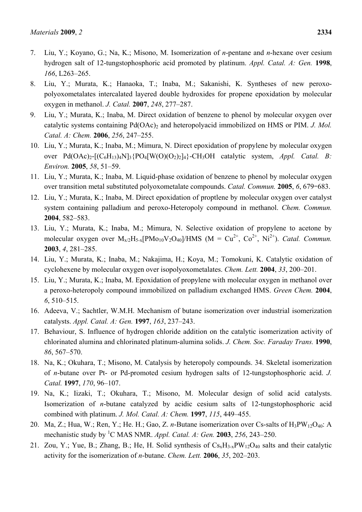- 7. Liu, Y.; Koyano, G.; Na, K.; Misono, M. Isomerization of *n*-pentane and *n*-hexane over cesium hydrogen salt of 12-tungstophosphoric acid promoted by platinum. *Appl. Catal. A: Gen.* **1998**, *166*, L263–265.
- 8. Liu, Y.; Murata, K.; Hanaoka, T.; Inaba, M.; Sakanishi, K. Syntheses of new peroxopolyoxometalates intercalated layered double hydroxides for propene epoxidation by molecular oxygen in methanol. *J. Catal.* **2007**, *248*, 277–287.
- 9. Liu, Y.; Murata, K.; Inaba, M. Direct oxidation of benzene to phenol by molecular oxygen over catalytic systems containing Pd(OAc)<sub>2</sub> and heteropolyacid immobilized on HMS or PIM. *J. Mol. Catal. A: Chem.* **2006**, *256*, 247–255.
- 10. Liu, Y.; Murata, K.; Inaba, M.; Mimura, N. Direct epoxidation of propylene by molecular oxygen over  $Pd(OAc)_{2}$ - $[(C_6H_{13})_4N]_3$  $[PO_4[W(O)(O_2)_2]_4$  $[CH_3OH$  catalytic system, *Appl. Catal. B: Environ.* **2005**, *58*, 51–59.
- 11. Liu, Y.; Murata, K.; Inaba, M. Liquid-phase oxidation of benzene to phenol by molecular oxygen over transition metal substituted polyoxometalate compounds. *Catal. Commun.* **2005**, *6*, 679–683.
- 12. Liu, Y.; Murata, K.; Inaba, M. Direct epoxidation of proptlene by molecular oxygen over catalyst system containing palladium and peroxo-Heteropoly compound in methanol. *Chem. Commun.* **2004**, 582–583.
- 13. Liu, Y.; Murata, K.; Inaba, M.; Mimura, N. Selective oxidation of propylene to acetone by molecular oxygen over  $M_{x/2}H_{5-x}$ [PMo<sub>10</sub>V<sub>2</sub>O<sub>40</sub>]/HMS (M = Cu<sup>2+</sup>, Co<sup>2+</sup>, Ni<sup>2+</sup>). *Catal. Commun.* **2003**, *4*, 281–285.
- 14. Liu, Y.; Murata, K.; Inaba, M.; Nakajima, H.; Koya, M.; Tomokuni, K. Catalytic oxidation of cyclohexene by molecular oxygen over isopolyoxometalates. *Chem. Lett.* **2004**, *33*, 200–201.
- 15. Liu, Y.; Murata, K.; Inaba, M. Epoxidation of propylene with molecular oxygen in methanol over a peroxo-heteropoly compound immobilized on palladium exchanged HMS. *Green Chem.* **2004**, *6*, 510–515.
- 16. Adeeva, V.; Sachtler, W.M.H. Mechanism of butane isomerization over industrial isomerization catalysts. *Appl. Catal. A: Gen.* **1997**, *163*, 237–243.
- 17. Behaviour, S. Influence of hydrogen chloride addition on the catalytic isomerization activity of chlorinated alumina and chlorinated platinum-alumina solids. *J. Chem. Soc. Faraday Trans.* **1990**, *86*, 567–570.
- 18. Na, K.; Okuhara, T.; Misono, M. Catalysis by heteropoly compounds. 34. Skeletal isomerization of *n*-butane over Pt- or Pd-promoted cesium hydrogen salts of 12-tungstophosphoric acid. *J. Catal.* **1997**, *170*, 96–107.
- 19. Na, K.; Iizaki, T.; Okuhara, T.; Misono, M. Molecular design of solid acid catalysts. Isomerization of *n*-butane catalyzed by acidic cesium salts of 12-tungstophosphoric acid combined with platinum. *J. Mol. Catal. A: Chem.* **1997**, *115*, 449–455.
- 20. Ma, Z.; Hua, W.; Ren, Y.; He. H.; Gao, Z. *n*-Butane isomerization over Cs-salts of H<sub>3</sub>PW<sub>12</sub>O<sub>40</sub>: A mechanistic study by <sup>1</sup> C MAS NMR. *Appl. Catal. A: Gen.* **2003**, *256*, 243–250.
- 21. Zou, Y.; Yue, B.; Zhang, B.; He, H. Solid synthesis of  $Cs_xH_{3-x}PW_{12}O_{40}$  salts and their catalytic activity for the isomerization of *n*-butane. *Chem. Lett.* **2006**, *35*, 202–203.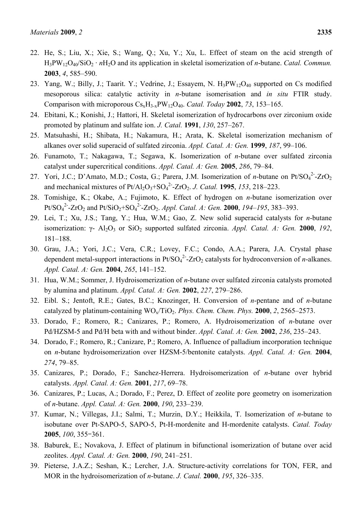- 22. He, S.; Liu, X.; Xie, S.; Wang, Q.; Xu, Y.; Xu, L. Effect of steam on the acid strength of H3PW12O40/SiO2 · *n*H2O and its application in skeletal isomerization of *n*-butane. *Catal. Commun.* **2003**, *4*, 585–590.
- 23. Yang, W.; Billy, J.; Taarit. Y.; Vedrine, J.; Essayem, N. H<sub>3</sub>PW<sub>12</sub>O<sub>40</sub> supported on Cs modified mesoporous silica: catalytic activity in *n*-butane isomerisation and *in situ* FTIR study. Comparison with microporous CsxH3-xPW12O40. *Catal. Today* **2002**, *73*, 153–165.
- 24. Ebitani, K.; Konishi, J.; Hattori, H. Skeletal isomerization of hydrocarbons over zirconium oxide promoted by platinum and sulfate ion. *J. Catal.* **1991**, *130*, 257–267.
- 25. Matsuhashi, H.; Shibata, H.; Nakamura, H.; Arata, K. Skeletal isomerization mechanism of alkanes over solid superacid of sulfated zirconia. *Appl. Catal. A: Gen.* **1999**, *187*, 99–106.
- 26. Funamoto, T.; Nakagawa, T.; Segawa, K. Isomerization of *n*-butane over sulfated zirconia catalyst under supercritical conditions. *Appl. Catal. A: Gen.* **2005**, *286*, 79–84.
- 27. Yori, J.C.; D'Amato, M.D.; Costa, G.; Parera, J.M. Isomerization of *n*-butane on Pt/SO<sub>4</sub><sup>2</sup>-ZrO<sub>2</sub> and mechanical mixtures of  $Pt/Al_2O_3 + SO_4^2$ -ZrO<sub>2</sub>. *J. Catal.* **1995**, *153*, 218–223.
- 28. Tomishige, K.; Okabe, A.; Fujimoto, K. Effect of hydrogen on *n*-butane isomerization over  $Pt/SO<sub>4</sub><sup>2</sup> - ZrO<sub>2</sub>$  and  $Pt/SiO<sub>2</sub>+SO<sub>4</sub><sup>2</sup>-ZrO<sub>2</sub>$ . *Appl. Catal. A: Gen.* **2000**, *194–195*, 383–393.
- 29. Lei, T.; Xu, J.S.; Tang, Y.; Hua, W.M.; Gao, Z. New solid superacid catalysts for *n*-butane isomerization: γ- Al<sub>2</sub>O<sub>3</sub> or SiO<sub>2</sub> supported sulfated zirconia. *Appl. Catal. A: Gen.* **2000**, 192, 181–188.
- 30. Grau, J.A.; Yori, J.C.; Vera, C.R.; Lovey, F.C.; Condo, A.A.; Parera, J.A. Crystal phase dependent metal-support interactions in  $Pt/SO<sub>4</sub><sup>2</sup>$ -ZrO<sub>2</sub> catalysts for hydroconversion of *n*-alkanes. *Appl. Catal. A: Gen.* **2004**, *265*, 141–152.
- 31. Hua, W.M.; Sommer, J. Hydroisomerization of *n*-butane over sulfated zirconia catalysts promoted by alumina and platinum. *Appl. Catal. A: Gen.* **2002**, *227*, 279–286.
- 32. Eibl. S.; Jentoft, R.E.; Gates, B.C.; Knozinger, H. Conversion of *n*-pentane and of *n*-butane catalyzed by platinum-containing  $WO_x/TiO_2$ . *Phys. Chem. Chem. Phys.* **2000**, *2*, 2565–2573.
- 33. Dorado, F.; Romero, R.; Canizares, P.; Romero, A. Hydroisomerization of *n*-butane over Pd/HZSM-5 and Pd/H beta with and without binder. *Appl. Catal. A: Gen.* **2002**, *236*, 235–243.
- 34. Dorado, F.; Romero, R.; Canizare, P.; Romero, A. Influence of palladium incorporation technique on *n*-butane hydroisomerization over HZSM-5/bentonite catalysts. *Appl. Catal. A: Gen.* **2004**, *274*, 79–85.
- 35. Canizares, P.; Dorado, F.; Sanchez-Herrera. Hydroisomerization of *n*-butane over hybrid catalysts. *Appl. Catal. A: Gen.* **2001**, *217*, 69–78.
- 36. Canizares, P.; Lucas, A.; Dorado, F.; Perez, D. Effect of zeolite pore geometry on isomerization of *n*-butane. *Appl. Catal. A: Gen.* **2000**, *190*, 233–239.
- 37. Kumar, N.; Villegas, J.I.; Salmi, T.; Murzin, D.Y.; Heikkila, T. Isomerization of *n*-butane to isobutane over Pt-SAPO-5, SAPO-5, Pt-H-mordenite and H-mordenite catalysts. *Catal. Today* **2005**, *100*, 355–361.
- 38. Baburek, E.; Novakova, J. Effect of platinum in bifunctional isomerization of butane over acid zeolites. *Appl. Catal. A: Gen.* **2000**, *190*, 241–251.
- 39. Pieterse, J.A.Z.; Seshan, K.; Lercher, J.A. Structure-activity correlations for TON, FER, and MOR in the hydroisomerization of *n*-butane. *J. Catal.* **2000**, *195*, 326–335.